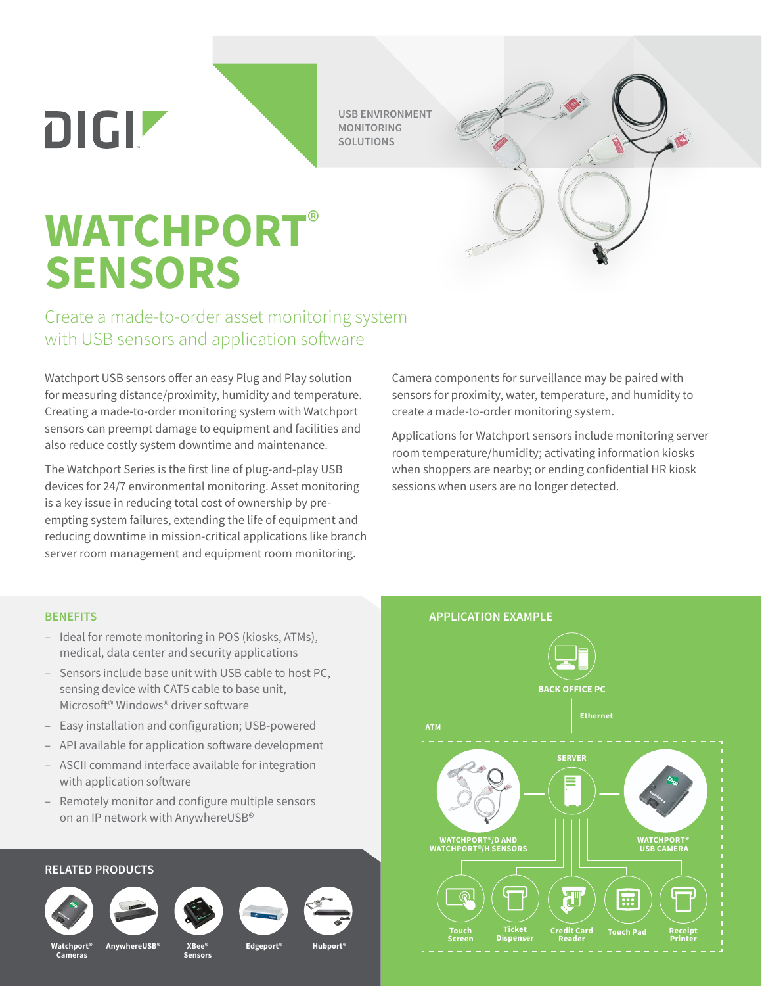$D[G]$ 

**USB ENVIRONMENT MONITORING SOLUTIONS**

## **WATCHPORT**® **SENSORS**

## Create a made-to-order asset monitoring system with USB sensors and application software

Watchport USB sensors offer an easy Plug and Play solution for measuring distance/proximity, humidity and temperature. Creating a made-to-order monitoring system with Watchport sensors can preempt damage to equipment and facilities and also reduce costly system downtime and maintenance.

The Watchport Series is the first line of plug-and-play USB devices for 24/7 environmental monitoring. Asset monitoring is a key issue in reducing total cost of ownership by preempting system failures, extending the life of equipment and reducing downtime in mission-critical applications like branch server room management and equipment room monitoring.

Camera components for surveillance may be paired with sensors for proximity, water, temperature, and humidity to create a made-to-order monitoring system.

Applications for Watchport sensors include monitoring server room temperature/humidity; activating information kiosks when shoppers are nearby; or ending confidential HR kiosk sessions when users are no longer detected.

## **BENEFITS**

- Ideal for remote monitoring in POS (kiosks, ATMs), medical, data center and security applications
- Sensors include base unit with USB cable to host PC, sensing device with CAT5 cable to base unit, Microsoft® Windows® driver software
- Easy installation and configuration; USB-powered
- API available for application software development
- ASCII command interface available for integration with application software
- Remotely monitor and configure multiple sensors on an IP network with AnywhereUSB®